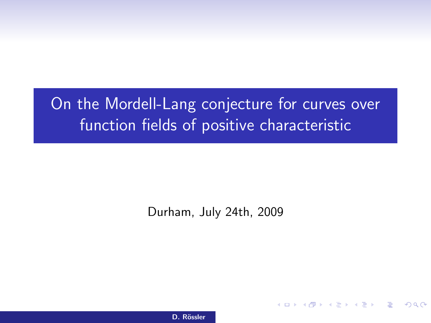# On the Mordell-Lang conjecture for curves over function fields of positive characteristic

Durham, July 24th, 2009

<span id="page-0-0"></span>イロメ イ部メ イヨメ イヨメー

D. Rössler On the Mordel-Lang conjecture for curves over function fields of positive characteristics of positive characteristics over function fields of positive characteristics over function fields of positive characteris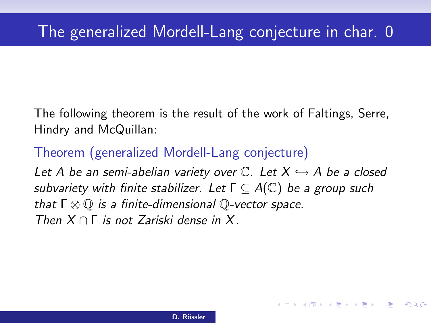The following theorem is the result of the work of Faltings, Serre, Hindry and McQuillan:

Theorem (generalized Mordell-Lang conjecture)

Let A be an semi-abelian variety over  $\mathbb{C}$ . Let  $X \hookrightarrow A$  be a closed subvariety with finite stabilizer. Let  $\Gamma \subset A(\mathbb{C})$  be a group such that  $\Gamma \otimes \mathbb{Q}$  is a finite-dimensional  $\mathbb{Q}$ -vector space. Then  $X \cap \Gamma$  is not Zariski dense in X.

K ロ ▶ K @ ▶ K ミ ▶ K ミ ▶ │ 등

 $\Omega$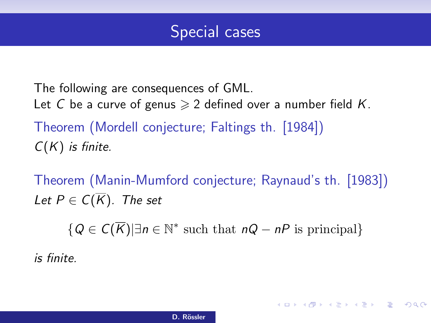

The following are consequences of GML. Let C be a curve of genus  $\geq 2$  defined over a number field K. Theorem (Mordell conjecture; Faltings th. [1984])  $C(K)$  is finite.

Theorem (Manin-Mumford conjecture; Raynaud's th. [1983]) Let  $P \in C(\overline{K})$ . The set

 $\{Q \in C(\overline{K}) | \exists n \in \mathbb{N}^* \text{ such that } nQ - nP \text{ is principal}\}\$ 

4 ロ X 4 団 X 4 ミ X 4 ミ X ミ X 9 Q Q

is finite.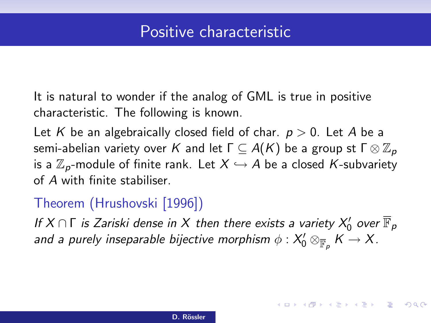## Positive characteristic

It is natural to wonder if the analog of GML is true in positive characteristic. The following is known.

Let K be an algebraically closed field of char.  $p > 0$ . Let A be a semi-abelian variety over K and let  $\Gamma \subseteq A(K)$  be a group st  $\Gamma \otimes \mathbb{Z}_p$ is a  $\mathbb{Z}_p$ -module of finite rank. Let  $X \hookrightarrow A$  be a closed K-subvariety of A with finite stabiliser.

#### Theorem (Hrushovski [1996])

If  $X \cap \Gamma$  is Zariski dense in  $X$  then there exists a variety  $X_0'$  over  $\overline{\mathbb{F}}_p$ and a purely inseparable bijective morphism  $\phi: X'_0\otimes_{\overline{\mathbb{F}}_p}K\to X.$ 

K ロ ▶ K @ ▶ K ミ ▶ K ミ ▶ │ 등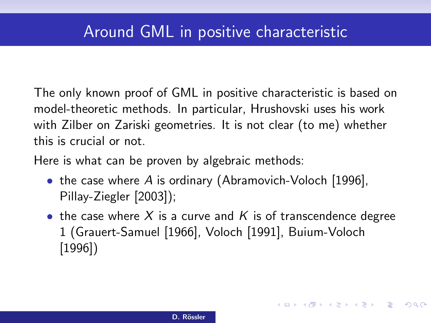The only known proof of GML in positive characteristic is based on model-theoretic methods. In particular, Hrushovski uses his work with Zilber on Zariski geometries. It is not clear (to me) whether this is crucial or not.

Here is what can be proven by algebraic methods:

- the case where A is ordinary (Abramovich-Voloch [1996], Pillay-Ziegler [2003]);
- the case where X is a curve and K is of transcendence degree 1 (Grauert-Samuel [1966], Voloch [1991], Buium-Voloch [1996])

K ロ ▶ K @ ▶ K ミ ▶ K ミ ▶ │ 등

 $\Omega$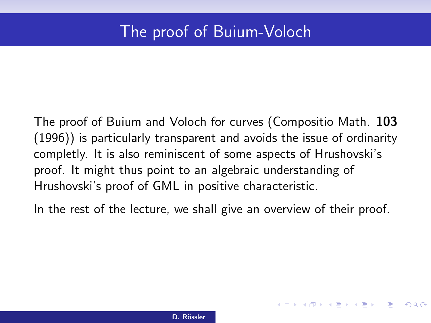## The proof of Buium-Voloch

The proof of Buium and Voloch for curves (Compositio Math. 103 (1996)) is particularly transparent and avoids the issue of ordinarity completly. It is also reminiscent of some aspects of Hrushovski's proof. It might thus point to an algebraic understanding of Hrushovski's proof of GML in positive characteristic.

In the rest of the lecture, we shall give an overview of their proof.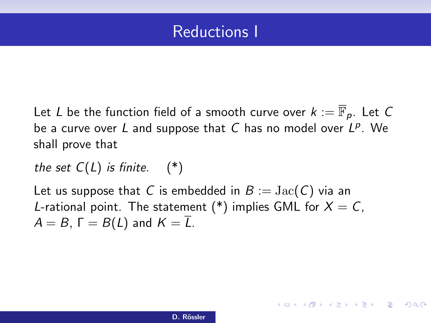## Reductions I

Let L be the function field of a smooth curve over  $k := \overline{\mathbb{F}}_p$ . Let C be a curve over  $L$  and suppose that  $C$  has no model over  $L^p$ . We shall prove that

the set  $C(L)$  is finite.  $(*)$ 

Let us suppose that C is embedded in  $B := \text{Jac}(C)$  via an L-rational point. The statement (\*) implies GML for  $X = C$ .  $A = B$ ,  $\Gamma = B(L)$  and  $K = \overline{L}$ .

4 ロ X 4 団 X 4 ミ X 4 ミ X ミ X 9 Q Q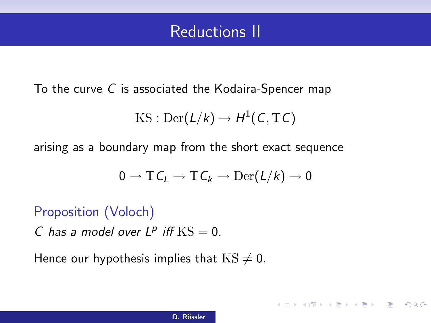## Reductions II

To the curve C is associated the Kodaira-Spencer map

$$
\operatorname{KS}: \operatorname{Der}(L/k) \to H^1(C,\mathrm{T} C)
$$

arising as a boundary map from the short exact sequence

$$
0\to \mathrm{T} \textit{\textsf{C}}_{L}\to \mathrm{T} \textit{\textsf{C}}_{k}\to \mathrm{Der}(L/k)\to 0
$$

4 ロ X 4 団 X 4 ミ X 4 ミ X ミ X 9 Q Q

#### Proposition (Voloch)

C has a model over  $L^p$  iff  $KS = 0$ .

Hence our hypothesis implies that  $KS \neq 0$ .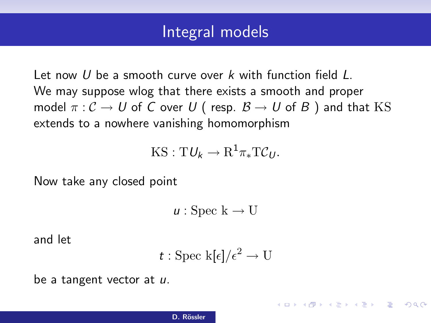#### Integral models

Let now U be a smooth curve over k with function field L. We may suppose wlog that there exists a smooth and proper model  $\pi : C \to U$  of C over U (resp.  $\mathcal{B} \to U$  of B) and that KS extends to a nowhere vanishing homomorphism

$$
KS: T\mathcal{U}_k \to R^1\pi_*T\mathcal{C}_U.
$$

Now take any closed point

 $u :$  Spec  $k \to U$ 

and let

$$
t: \text{Spec } \mathbf{k}[\epsilon]/\epsilon^2 \to \mathbf{U}
$$

4 ロ X 4 団 X 4 ミ X 4 ミ X ミ X 9 Q Q

be a tangent vector at u.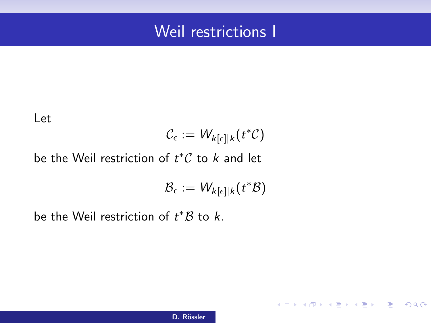## Weil restrictions I

Let

$$
\mathcal{C}_{\epsilon} := W_{k[\epsilon]|k}(t^*\mathcal{C})
$$

be the Weil restriction of  $t^*\mathcal{C}$  to  $k$  and let

$$
\mathcal{B}_{\epsilon}:=W_{k[\epsilon]|k}(t^*\mathcal{B})
$$

K ロ X K @ X K 할 X K 할 X (할 X ) 할 X 10 Q Q O

be the Weil restriction of  $t^*B$  to  $k$ .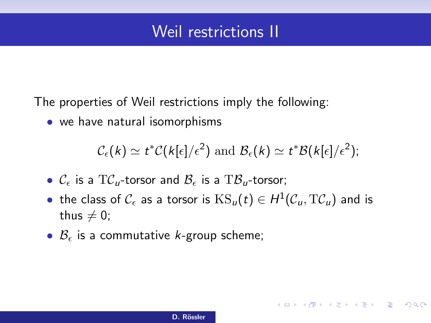## Weil restrictions II

The properties of Weil restrictions imply the following:

• we have natural isomorphisms

$$
C_{\epsilon}(k) \simeq t^* C(k[\epsilon]/\epsilon^2)
$$
 and  $\mathcal{B}_{\epsilon}(k) \simeq t^* \mathcal{B}(k[\epsilon]/\epsilon^2)$ ;

イロト (個) (量) (量) (量) = 割 のQの

- $\mathcal{C}_{\epsilon}$  is a  $T\mathcal{C}_{\mu}$ -torsor and  $\mathcal{B}_{\epsilon}$  is a  $T\mathcal{B}_{\mu}$ -torsor;
- $\bullet\,$  the class of  $\mathcal{C}_\epsilon$  as a torsor is  $\mathrm{KS}_u(t)\in H^1(\mathcal{C}_u, \mathrm{T}\mathcal{C}_u)$  and is thus  $\neq 0$ ;
- $\mathcal{B}_{\epsilon}$  is a commutative *k*-group scheme;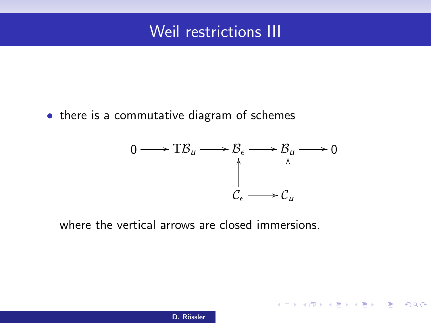## Weil restrictions III

• there is a commutative diagram of schemes



**KOX KOX KEX KEX E YORA** 

where the vertical arrows are closed immersions.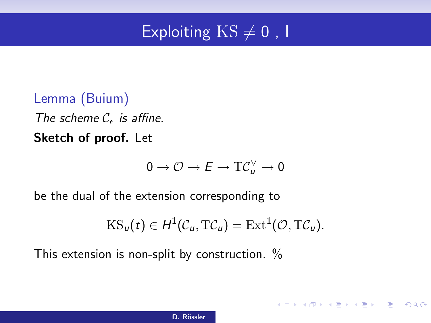## Exploiting  $KS \neq 0$ , I

Lemma (Buium) The scheme  $C_{\epsilon}$  is affine. Sketch of proof. Let

$$
0\to \mathcal{O}\to E\to \mathrm{T}\mathcal{C}_u^\vee\to 0
$$

be the dual of the extension corresponding to

$$
KS_u(t) \in H^1(\mathcal{C}_u, T\mathcal{C}_u) = \text{Ext}^1(\mathcal{O}, T\mathcal{C}_u).
$$

4 ロ X 4 団 X 4 ミ X 4 ミ X ミ X 9 Q Q

This extension is non-split by construction. %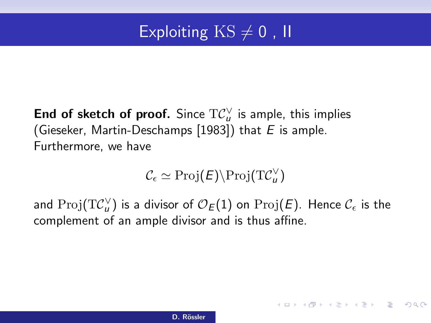## Exploiting  $KS \neq 0$ , II

#### End of sketch of proof. Since  $\mathrm{T} \mathcal{C}^\vee_\mu$  is ample, this implies (Gieseker, Martin-Deschamps [1983]) that  $E$  is ample. Furthermore, we have

$$
\mathcal{C}_{\epsilon} \simeq \mathrm{Proj}(E) \backslash \mathrm{Proj}(\mathrm{T}\mathcal{C}_{u}^{\vee})
$$

and  $\mathrm{Proj}(\mathrm{T}\mathcal{C}_u^\vee)$  is a divisor of  $\mathcal{O}_{\mathcal{E}}(1)$  on  $\mathrm{Proj}(\mathcal{E}).$  Hence  $\mathcal{C}_\epsilon$  is the complement of an ample divisor and is thus affine.

KO K K Ø K K I K I I I I DA O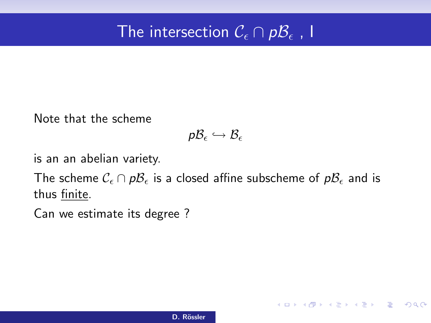# The intersection  $\mathcal{C}_\epsilon \cap p\mathcal{B}_\epsilon$  , I

Note that the scheme

$$
\mathsf{p}\mathcal{B}_\epsilon \hookrightarrow \mathcal{B}_\epsilon
$$

is an an abelian variety.

The scheme  $\mathcal{C}_{\epsilon} \cap p\mathcal{B}_{\epsilon}$  is a closed affine subscheme of  $p\mathcal{B}_{\epsilon}$  and is thus finite.

Can we estimate its degree ?

K ロ X x (個) X x B X X B X D → C B → D Q Q Q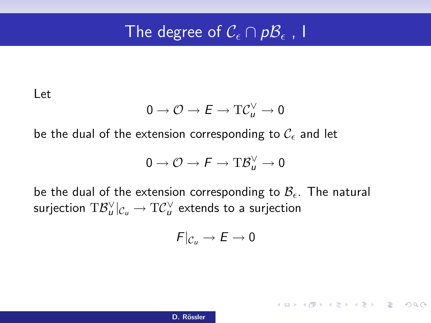# The degree of  $\mathcal{C}_\epsilon \cap \mathcal{p}\mathcal{B}_\epsilon$  , I

Let

$$
0\to \mathcal{O}\to E\to \mathrm{T}\mathcal{C}_u^\vee\to 0
$$

be the dual of the extension corresponding to  $\mathcal{C}_{\epsilon}$  and let

$$
0\to \mathcal{O}\to \digamma\to \mathrm{T}\mathcal{B}_u^\vee\to 0
$$

be the dual of the extension corresponding to  $\mathcal{B}_{\epsilon}$ . The natural surjection  $\mathrm{T}\mathcal{B}^\vee_u|_{\mathcal{C}_u}\to \mathrm{T}\mathcal{C}^\vee_u$  extends to a surjection

$$
F|_{\mathcal{C}_u}\to E\to 0
$$

KORK@RKERKER E KORCH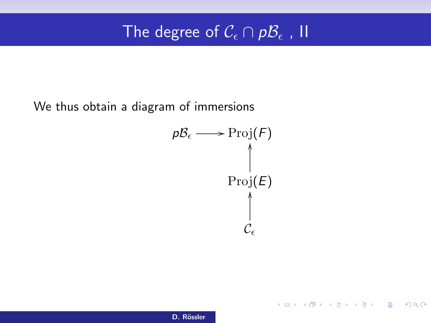# The degree of  $\mathcal{C}_\epsilon \cap \mathcal{B}_{\epsilon}$  ,  $\Pi$

We thus obtain a diagram of immersions

$$
p\mathcal{B}_{\epsilon} \longrightarrow \text{Proj}(F)
$$
  
 
$$
\uparrow
$$
  
 
$$
\uparrow
$$
  
 
$$
\uparrow
$$
  
 
$$
\downarrow
$$
  
 
$$
\mathcal{C}_{\epsilon}
$$

K ロ X K @ X K 할 X K 할 X (할 X ) 할 X 10 Q Q O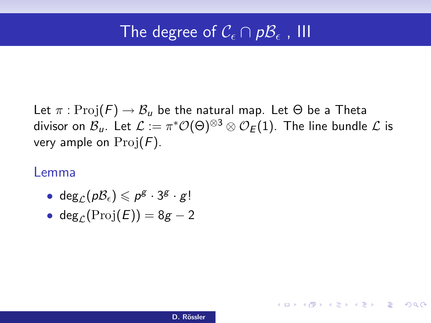# The degree of  $\mathcal{C}_\epsilon \cap \mathcal{p}\mathcal{B}_\epsilon$  , III

Let  $\pi: \text{Proj}(F) \to \mathcal{B}_u$  be the natural map. Let  $\Theta$  be a Theta divisor on  $\mathcal{B}_u$ . Let  $\mathcal{L}:=\pi^*\mathcal{O}(\Theta)^{\otimes 3}\otimes\mathcal{O}_E(1).$  The line bundle  $\mathcal L$  is very ample on  $\text{Proj}(F)$ .

#### Lemma

- deg $_{\mathcal{L}}(p\mathcal{B}_{\epsilon})\leqslant p^{\mathcal{B}}\cdot 3^{\mathcal{B}}\cdot g!$
- deg<sub>c</sub>(Proj(E)) =  $8g 2$

イロト (個) (量) (量) (量) = 割 のQの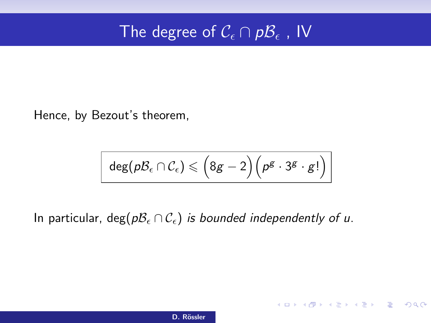# The degree of  $\mathcal{C}_\epsilon \cap \mathcal{B} \epsilon$  , IV

Hence, by Bezout's theorem,

$$
\text{deg}(p\mathcal{B}_{\epsilon} \cap \mathcal{C}_{\epsilon}) \leqslant \Big(8g-2\Big)\Big(p^g \cdot 3^g \cdot g!\Big)
$$

K ロ X x (個) X x B X X B X D → C B → D Q Q Q

In particular, deg( $pB_\epsilon \cap C_\epsilon$ ) is bounded independently of u.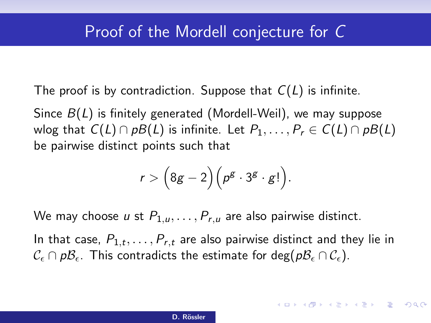The proof is by contradiction. Suppose that  $C(L)$  is infinite.

Since  $B(L)$  is finitely generated (Mordell-Weil), we may suppose wlog that  $C(L) \cap pB(L)$  is infinite. Let  $P_1, \ldots, P_r \in C(L) \cap pB(L)$ be pairwise distinct points such that

$$
r > \Big(8g-2\Big)\Big(p^g\cdot 3^g\cdot g!\Big).
$$

We may choose u st  $P_{1,u}, \ldots, P_{r,u}$  are also pairwise distinct.

In that case,  $P_{1,t},\ldots,P_{r,t}$  are also pairwise distinct and they lie in  $\mathcal{C}_{\epsilon} \cap p\mathcal{B}_{\epsilon}$ . This contradicts the estimate for deg( $p\mathcal{B}_{\epsilon} \cap \mathcal{C}_{\epsilon}$ ).

**KORK (DRAGA) KERKER OQO**